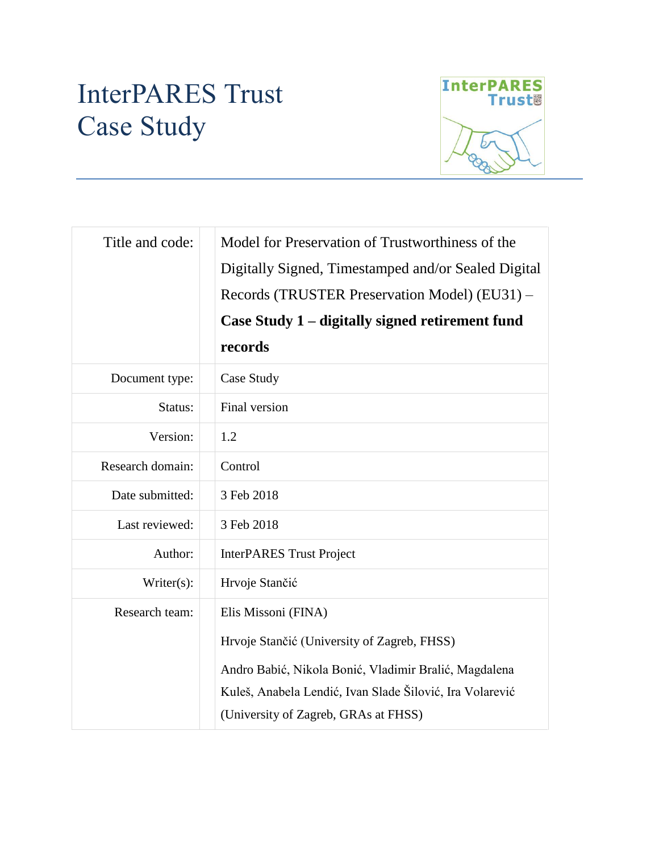# InterPARES Trust Case Study



| Title and code:  | Model for Preservation of Trustworthiness of the<br>Digitally Signed, Timestamped and/or Sealed Digital<br>Records (TRUSTER Preservation Model) (EU31) -<br>Case Study 1 – digitally signed retirement fund<br>records          |
|------------------|---------------------------------------------------------------------------------------------------------------------------------------------------------------------------------------------------------------------------------|
| Document type:   | Case Study                                                                                                                                                                                                                      |
| Status:          | Final version                                                                                                                                                                                                                   |
| Version:         | 1.2                                                                                                                                                                                                                             |
| Research domain: | Control                                                                                                                                                                                                                         |
| Date submitted:  | 3 Feb 2018                                                                                                                                                                                                                      |
| Last reviewed:   | 3 Feb 2018                                                                                                                                                                                                                      |
| Author:          | <b>InterPARES Trust Project</b>                                                                                                                                                                                                 |
| Writer(s):       | Hrvoje Stančić                                                                                                                                                                                                                  |
| Research team:   | Elis Missoni (FINA)<br>Hrvoje Stančić (University of Zagreb, FHSS)<br>Andro Babić, Nikola Bonić, Vladimir Bralić, Magdalena<br>Kuleš, Anabela Lendić, Ivan Slade Šilović, Ira Volarević<br>(University of Zagreb, GRAs at FHSS) |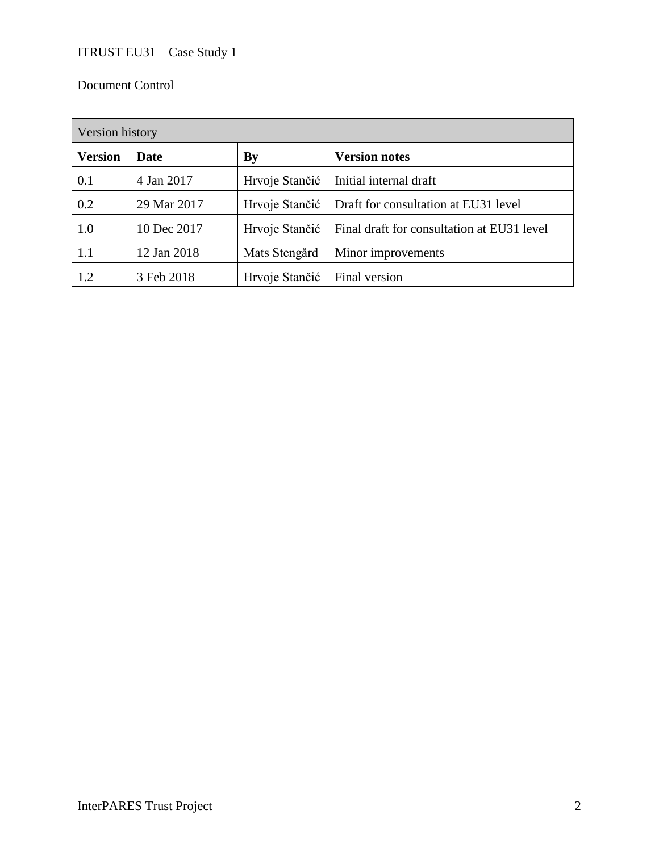## Document Control

| Version history |             |                |                                            |  |  |
|-----------------|-------------|----------------|--------------------------------------------|--|--|
| <b>Version</b>  | Date        | <b>By</b>      | <b>Version notes</b>                       |  |  |
| 0.1             | 4 Jan 2017  | Hrvoje Stančić | Initial internal draft                     |  |  |
| 0.2             | 29 Mar 2017 | Hrvoje Stančić | Draft for consultation at EU31 level       |  |  |
| 1.0             | 10 Dec 2017 | Hrvoje Stančić | Final draft for consultation at EU31 level |  |  |
| 1.1             | 12 Jan 2018 | Mats Stengård  | Minor improvements                         |  |  |
| 1.2             | 3 Feb 2018  | Hrvoje Stančić | Final version                              |  |  |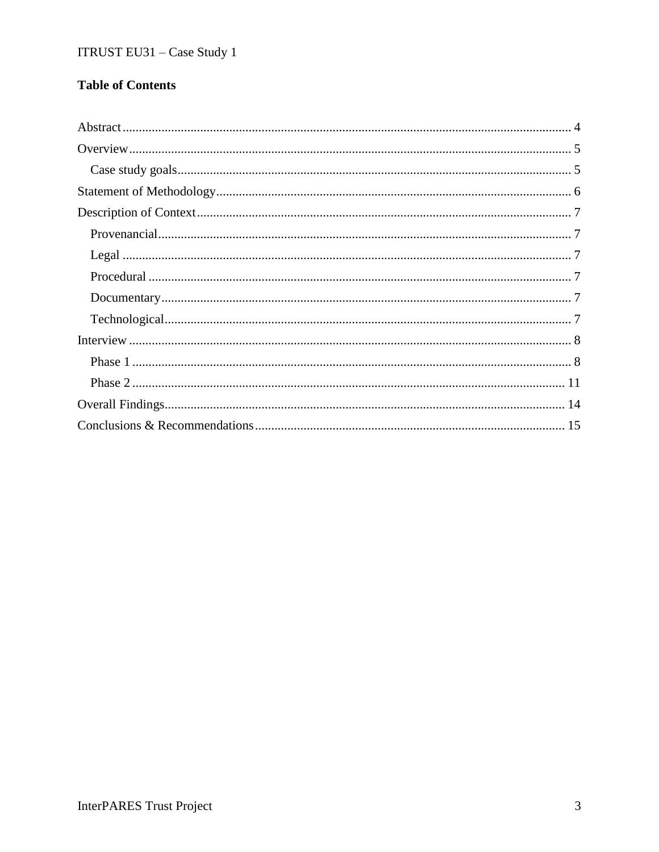## **Table of Contents**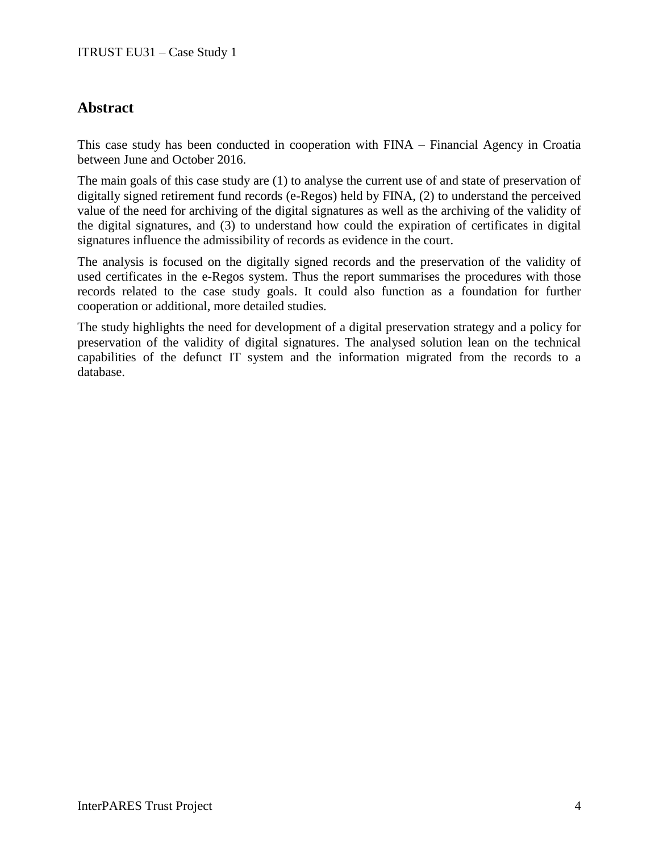## **Abstract**

This case study has been conducted in cooperation with FINA – Financial Agency in Croatia between June and October 2016.

The main goals of this case study are (1) to analyse the current use of and state of preservation of digitally signed retirement fund records (e-Regos) held by FINA, (2) to understand the perceived value of the need for archiving of the digital signatures as well as the archiving of the validity of the digital signatures, and (3) to understand how could the expiration of certificates in digital signatures influence the admissibility of records as evidence in the court.

The analysis is focused on the digitally signed records and the preservation of the validity of used certificates in the e-Regos system. Thus the report summarises the procedures with those records related to the case study goals. It could also function as a foundation for further cooperation or additional, more detailed studies.

The study highlights the need for development of a digital preservation strategy and a policy for preservation of the validity of digital signatures. The analysed solution lean on the technical capabilities of the defunct IT system and the information migrated from the records to a database.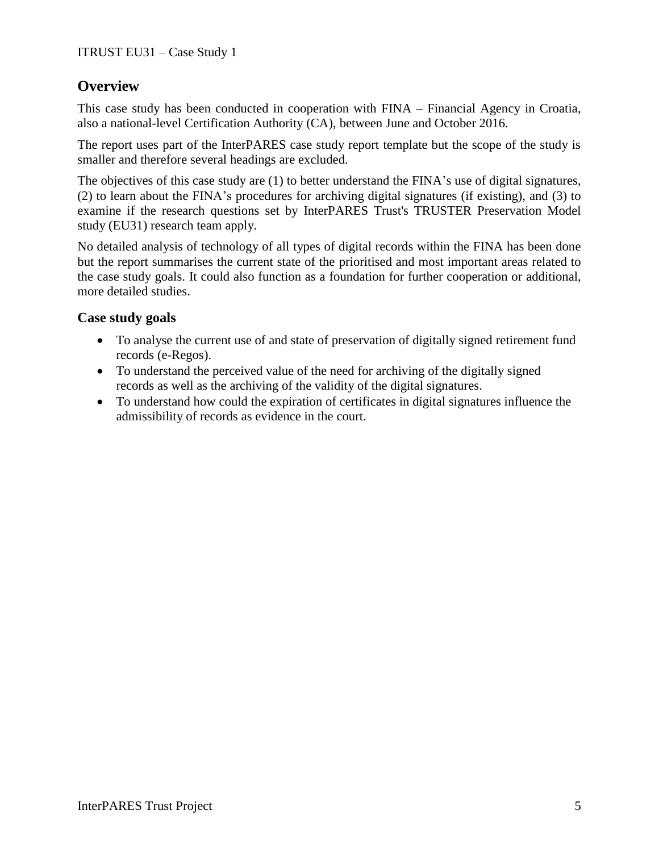## **Overview**

This case study has been conducted in cooperation with FINA – Financial Agency in Croatia, also a national-level Certification Authority (CA), between June and October 2016.

The report uses part of the InterPARES case study report template but the scope of the study is smaller and therefore several headings are excluded.

The objectives of this case study are (1) to better understand the FINA's use of digital signatures, (2) to learn about the FINA's procedures for archiving digital signatures (if existing), and (3) to examine if the research questions set by InterPARES Trust's TRUSTER Preservation Model study (EU31) research team apply.

No detailed analysis of technology of all types of digital records within the FINA has been done but the report summarises the current state of the prioritised and most important areas related to the case study goals. It could also function as a foundation for further cooperation or additional, more detailed studies.

## **Case study goals**

- To analyse the current use of and state of preservation of digitally signed retirement fund records (e-Regos).
- To understand the perceived value of the need for archiving of the digitally signed records as well as the archiving of the validity of the digital signatures.
- To understand how could the expiration of certificates in digital signatures influence the admissibility of records as evidence in the court.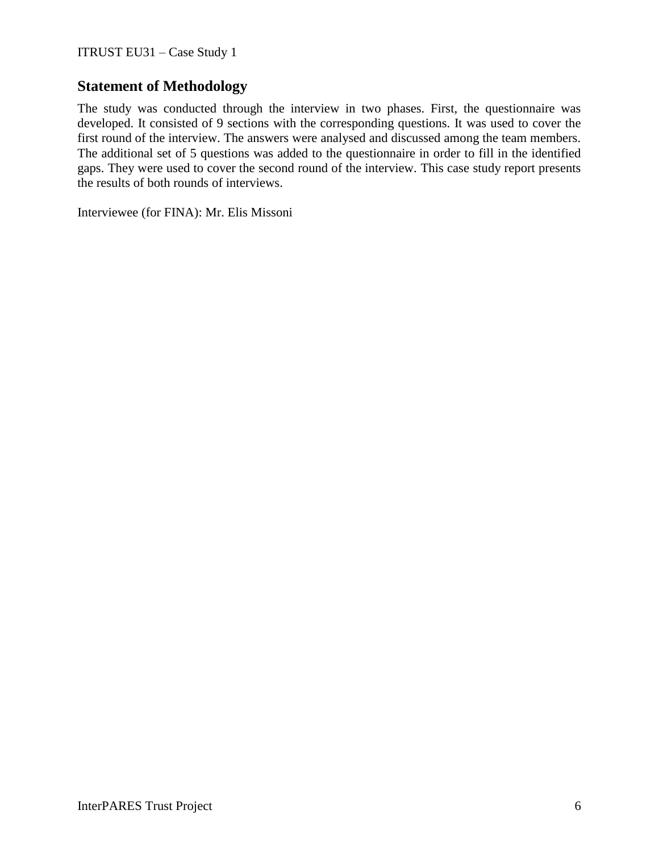## **Statement of Methodology**

The study was conducted through the interview in two phases. First, the questionnaire was developed. It consisted of 9 sections with the corresponding questions. It was used to cover the first round of the interview. The answers were analysed and discussed among the team members. The additional set of 5 questions was added to the questionnaire in order to fill in the identified gaps. They were used to cover the second round of the interview. This case study report presents the results of both rounds of interviews.

Interviewee (for FINA): Mr. Elis Missoni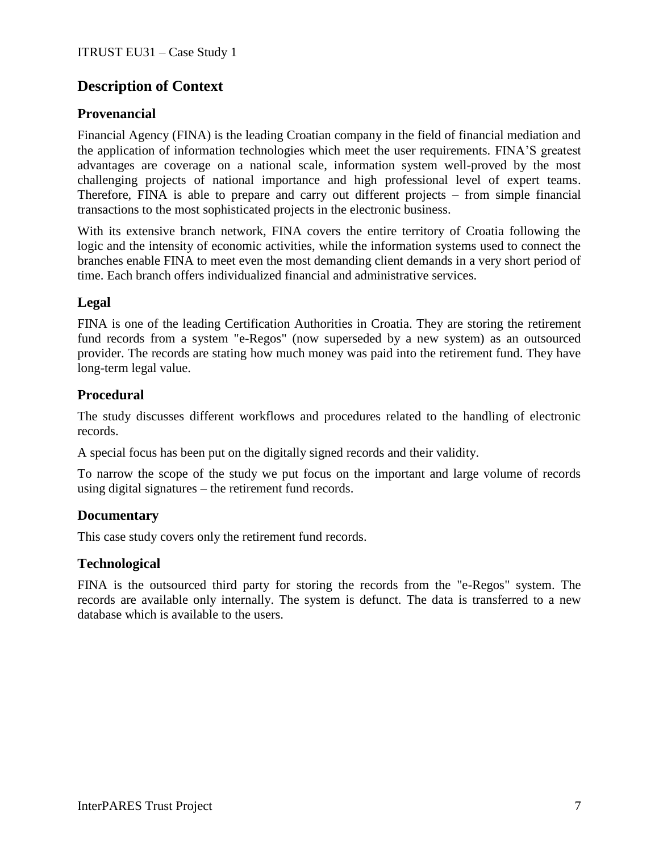## **Description of Context**

## **Provenancial**

Financial Agency (FINA) is the leading Croatian company in the field of financial mediation and the application of information technologies which meet the user requirements. FINA'S greatest advantages are coverage on a national scale, information system well-proved by the most challenging projects of national importance and high professional level of expert teams. Therefore, FINA is able to prepare and carry out different projects – from simple financial transactions to the most sophisticated projects in the electronic business.

With its extensive branch network, FINA covers the entire territory of Croatia following the logic and the intensity of economic activities, while the information systems used to connect the branches enable FINA to meet even the most demanding client demands in a very short period of time. Each branch offers individualized financial and administrative services.

## **Legal**

FINA is one of the leading Certification Authorities in Croatia. They are storing the retirement fund records from a system "e-Regos" (now superseded by a new system) as an outsourced provider. The records are stating how much money was paid into the retirement fund. They have long-term legal value.

## **Procedural**

The study discusses different workflows and procedures related to the handling of electronic records.

A special focus has been put on the digitally signed records and their validity.

To narrow the scope of the study we put focus on the important and large volume of records using digital signatures – the retirement fund records.

## **Documentary**

This case study covers only the retirement fund records.

## **Technological**

FINA is the outsourced third party for storing the records from the "e-Regos" system. The records are available only internally. The system is defunct. The data is transferred to a new database which is available to the users.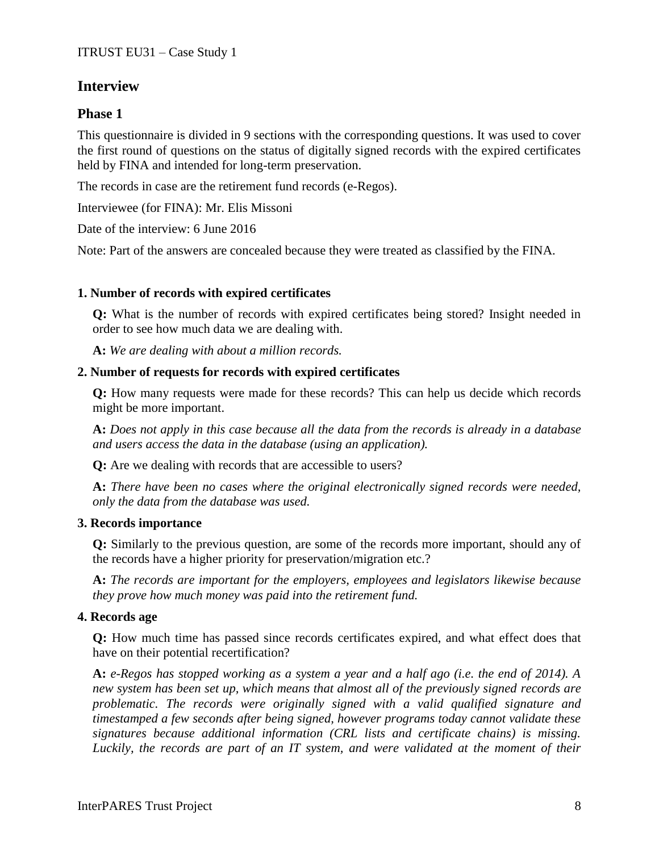## **Interview**

### **Phase 1**

This questionnaire is divided in 9 sections with the corresponding questions. It was used to cover the first round of questions on the status of digitally signed records with the expired certificates held by FINA and intended for long-term preservation.

The records in case are the retirement fund records (e-Regos).

Interviewee (for FINA): Mr. Elis Missoni

Date of the interview: 6 June 2016

Note: Part of the answers are concealed because they were treated as classified by the FINA.

#### **1. Number of records with expired certificates**

**Q:** What is the number of records with expired certificates being stored? Insight needed in order to see how much data we are dealing with.

**A:** *We are dealing with about a million records.*

#### **2. Number of requests for records with expired certificates**

**Q:** How many requests were made for these records? This can help us decide which records might be more important.

**A:** *Does not apply in this case because all the data from the records is already in a database and users access the data in the database (using an application).*

**Q:** Are we dealing with records that are accessible to users?

**A:** *There have been no cases where the original electronically signed records were needed, only the data from the database was used.*

#### **3. Records importance**

**Q:** Similarly to the previous question, are some of the records more important, should any of the records have a higher priority for preservation/migration etc.?

**A:** *The records are important for the employers, employees and legislators likewise because they prove how much money was paid into the retirement fund.*

#### **4. Records age**

**Q:** How much time has passed since records certificates expired, and what effect does that have on their potential recertification?

**A:** *e-Regos has stopped working as a system a year and a half ago (i.e. the end of 2014). A new system has been set up, which means that almost all of the previously signed records are problematic. The records were originally signed with a valid qualified signature and timestamped a few seconds after being signed, however programs today cannot validate these signatures because additional information (CRL lists and certificate chains) is missing. Luckily, the records are part of an IT system, and were validated at the moment of their*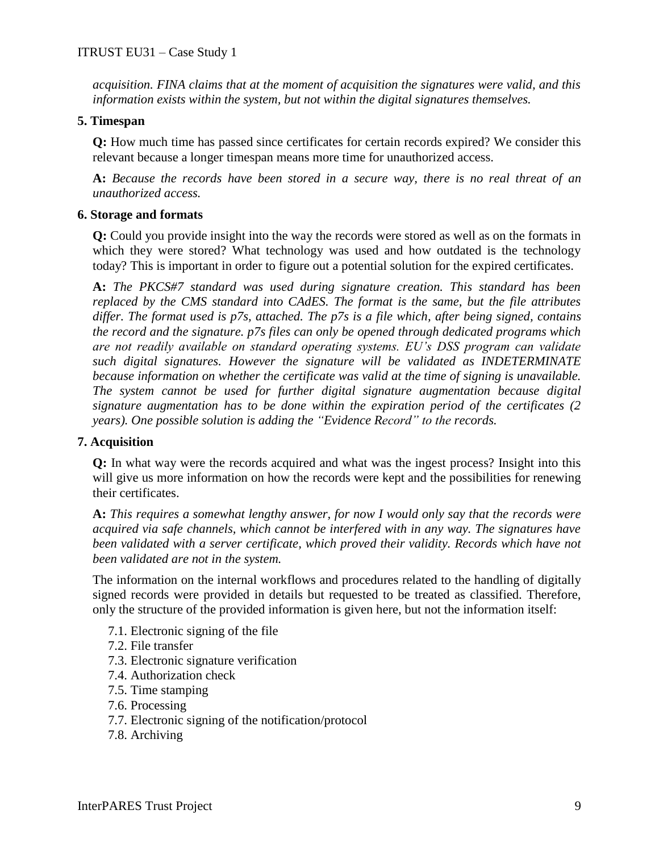*acquisition. FINA claims that at the moment of acquisition the signatures were valid, and this information exists within the system, but not within the digital signatures themselves.*

#### **5. Timespan**

**Q:** How much time has passed since certificates for certain records expired? We consider this relevant because a longer timespan means more time for unauthorized access.

**A:** *Because the records have been stored in a secure way, there is no real threat of an unauthorized access.*

#### **6. Storage and formats**

**Q:** Could you provide insight into the way the records were stored as well as on the formats in which they were stored? What technology was used and how outdated is the technology today? This is important in order to figure out a potential solution for the expired certificates.

**A:** *The PKCS#7 standard was used during signature creation. This standard has been replaced by the CMS standard into CAdES. The format is the same, but the file attributes differ. The format used is p7s, attached. The p7s is a file which, after being signed, contains the record and the signature. p7s files can only be opened through dedicated programs which are not readily available on standard operating systems. EU's DSS program can validate such digital signatures. However the signature will be validated as INDETERMINATE because information on whether the certificate was valid at the time of signing is unavailable. The system cannot be used for further digital signature augmentation because digital signature augmentation has to be done within the expiration period of the certificates (2 years). One possible solution is adding the "Evidence Record" to the records.*

#### **7. Acquisition**

**Q:** In what way were the records acquired and what was the ingest process? Insight into this will give us more information on how the records were kept and the possibilities for renewing their certificates.

**A:** *This requires a somewhat lengthy answer, for now I would only say that the records were acquired via safe channels, which cannot be interfered with in any way. The signatures have been validated with a server certificate, which proved their validity. Records which have not been validated are not in the system.* 

The information on the internal workflows and procedures related to the handling of digitally signed records were provided in details but requested to be treated as classified. Therefore, only the structure of the provided information is given here, but not the information itself:

- 7.1. Electronic signing of the file
- 7.2. File transfer
- 7.3. Electronic signature verification
- 7.4. Authorization check
- 7.5. Time stamping
- 7.6. Processing
- 7.7. Electronic signing of the notification/protocol
- 7.8. Archiving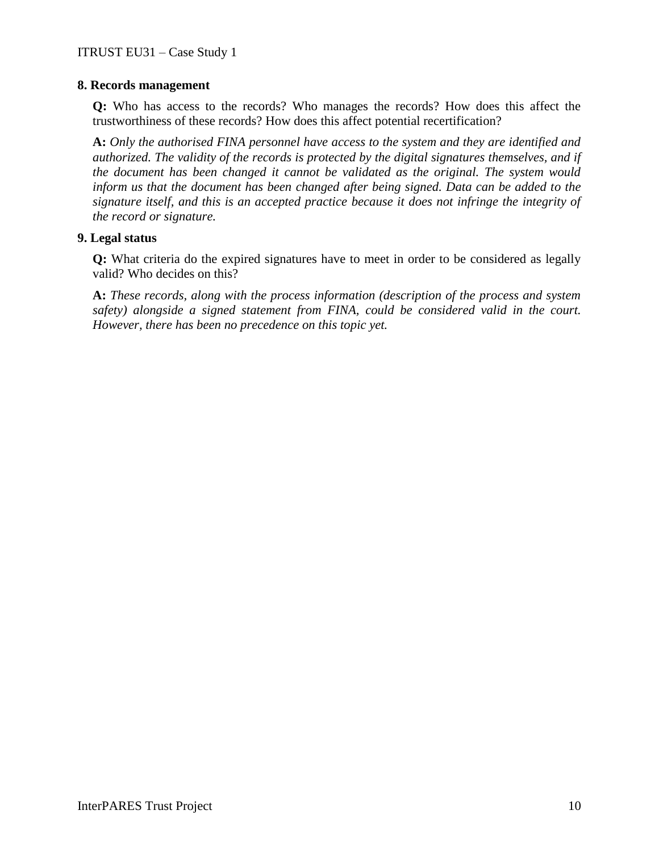#### **8. Records management**

**Q:** Who has access to the records? Who manages the records? How does this affect the trustworthiness of these records? How does this affect potential recertification?

**A:** *Only the authorised FINA personnel have access to the system and they are identified and authorized. The validity of the records is protected by the digital signatures themselves, and if the document has been changed it cannot be validated as the original. The system would inform us that the document has been changed after being signed. Data can be added to the signature itself, and this is an accepted practice because it does not infringe the integrity of the record or signature.*

#### **9. Legal status**

**Q:** What criteria do the expired signatures have to meet in order to be considered as legally valid? Who decides on this?

**A:** *These records, along with the process information (description of the process and system safety) alongside a signed statement from FINA, could be considered valid in the court. However, there has been no precedence on this topic yet.*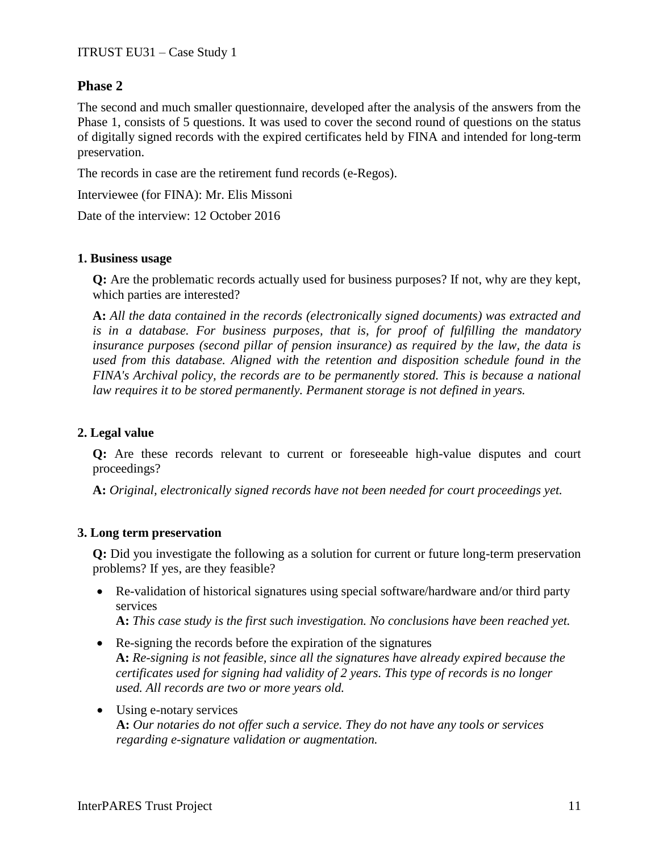#### **Phase 2**

The second and much smaller questionnaire, developed after the analysis of the answers from the Phase 1, consists of 5 questions. It was used to cover the second round of questions on the status of digitally signed records with the expired certificates held by FINA and intended for long-term preservation.

The records in case are the retirement fund records (e-Regos).

Interviewee (for FINA): Mr. Elis Missoni

Date of the interview: 12 October 2016

#### **1. Business usage**

**Q:** Are the problematic records actually used for business purposes? If not, why are they kept, which parties are interested?

**A:** *All the data contained in the records (electronically signed documents) was extracted and is in a database. For business purposes, that is, for proof of fulfilling the mandatory insurance purposes (second pillar of pension insurance) as required by the law, the data is used from this database. Aligned with the retention and disposition schedule found in the FINA's Archival policy, the records are to be permanently stored. This is because a national law requires it to be stored permanently. Permanent storage is not defined in years.*

#### **2. Legal value**

**Q:** Are these records relevant to current or foreseeable high-value disputes and court proceedings?

**A:** *Original, electronically signed records have not been needed for court proceedings yet.*

#### **3. Long term preservation**

**Q:** Did you investigate the following as a solution for current or future long-term preservation problems? If yes, are they feasible?

 Re-validation of historical signatures using special software/hardware and/or third party services

**A:** *This case study is the first such investigation. No conclusions have been reached yet.*

- Re-signing the records before the expiration of the signatures **A:** *Re-signing is not feasible, since all the signatures have already expired because the certificates used for signing had validity of 2 years. This type of records is no longer used. All records are two or more years old.*
- Using e-notary services **A:** *Our notaries do not offer such a service. They do not have any tools or services regarding e-signature validation or augmentation.*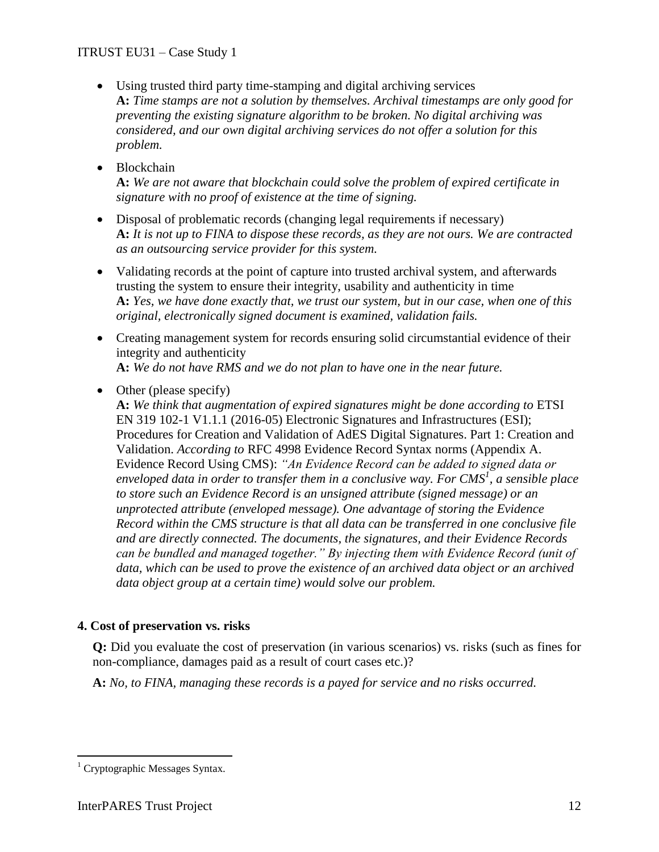- Using trusted third party time-stamping and digital archiving services **A:** *Time stamps are not a solution by themselves. Archival timestamps are only good for preventing the existing signature algorithm to be broken. No digital archiving was considered, and our own digital archiving services do not offer a solution for this problem.*
- Blockchain

**A:** *We are not aware that blockchain could solve the problem of expired certificate in signature with no proof of existence at the time of signing.*

- Disposal of problematic records (changing legal requirements if necessary) **A:** *It is not up to FINA to dispose these records, as they are not ours. We are contracted as an outsourcing service provider for this system.*
- Validating records at the point of capture into trusted archival system, and afterwards trusting the system to ensure their integrity, usability and authenticity in time **A:** *Yes, we have done exactly that, we trust our system, but in our case, when one of this original, electronically signed document is examined, validation fails.*
- Creating management system for records ensuring solid circumstantial evidence of their integrity and authenticity **A:** *We do not have RMS and we do not plan to have one in the near future.*
- Other (please specify) **A:** *We think that augmentation of expired signatures might be done according to* ETSI EN 319 102-1 V1.1.1 (2016-05) Electronic Signatures and Infrastructures (ESI); Procedures for Creation and Validation of AdES Digital Signatures. Part 1: Creation and Validation. *According to* RFC 4998 Evidence Record Syntax norms (Appendix A. Evidence Record Using CMS): *"An Evidence Record can be added to signed data or enveloped data in order to transfer them in a conclusive way. For CMS<sup>1</sup> , a sensible place to store such an Evidence Record is an unsigned attribute (signed message) or an unprotected attribute (enveloped message). One advantage of storing the Evidence Record within the CMS structure is that all data can be transferred in one conclusive file and are directly connected. The documents, the signatures, and their Evidence Records can be bundled and managed together." By injecting them with Evidence Record (unit of data, which can be used to prove the existence of an archived data object or an archived data object group at a certain time) would solve our problem.*

#### **4. Cost of preservation vs. risks**

**Q:** Did you evaluate the cost of preservation (in various scenarios) vs. risks (such as fines for non-compliance, damages paid as a result of court cases etc.)?

**A:** *No, to FINA, managing these records is a payed for service and no risks occurred.*

 $\overline{a}$  $1$  Cryptographic Messages Syntax.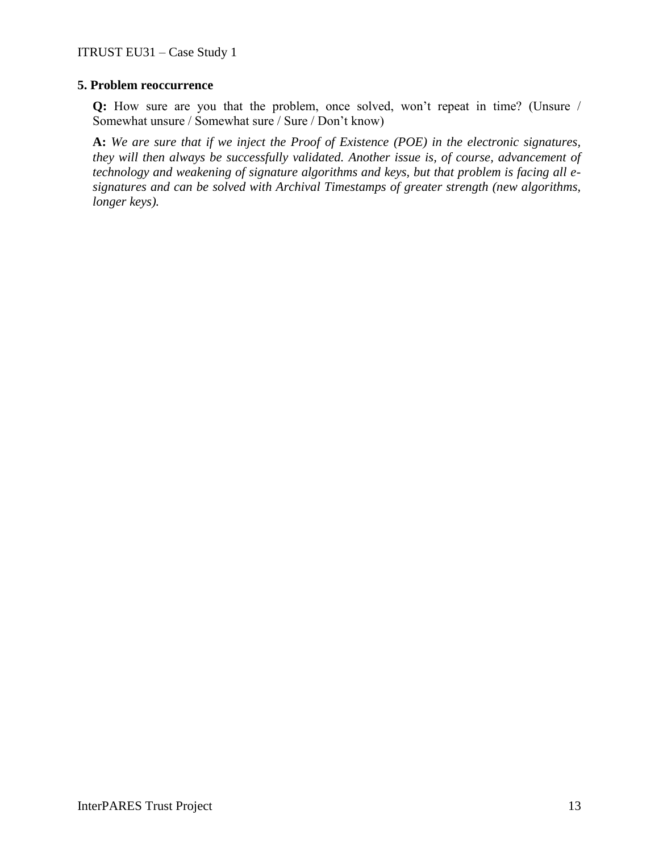#### **5. Problem reoccurrence**

**Q:** How sure are you that the problem, once solved, won't repeat in time? (Unsure / Somewhat unsure / Somewhat sure / Sure / Don't know)

**A:** *We are sure that if we inject the Proof of Existence (POE) in the electronic signatures, they will then always be successfully validated. Another issue is, of course, advancement of technology and weakening of signature algorithms and keys, but that problem is facing all esignatures and can be solved with Archival Timestamps of greater strength (new algorithms, longer keys).*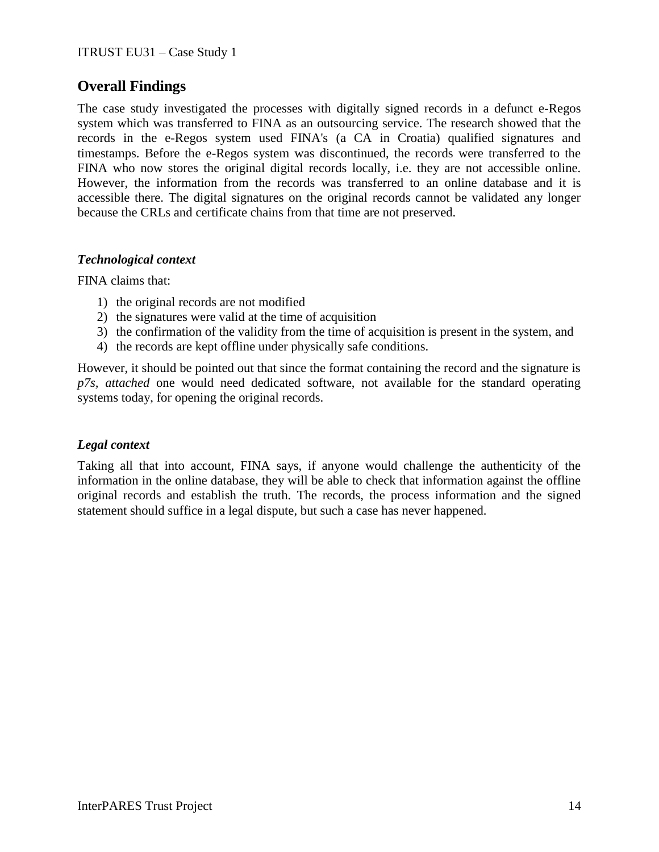## **Overall Findings**

The case study investigated the processes with digitally signed records in a defunct e-Regos system which was transferred to FINA as an outsourcing service. The research showed that the records in the e-Regos system used FINA's (a CA in Croatia) qualified signatures and timestamps. Before the e-Regos system was discontinued, the records were transferred to the FINA who now stores the original digital records locally, i.e. they are not accessible online. However, the information from the records was transferred to an online database and it is accessible there. The digital signatures on the original records cannot be validated any longer because the CRLs and certificate chains from that time are not preserved.

#### *Technological context*

FINA claims that:

- 1) the original records are not modified
- 2) the signatures were valid at the time of acquisition
- 3) the confirmation of the validity from the time of acquisition is present in the system, and
- 4) the records are kept offline under physically safe conditions.

However, it should be pointed out that since the format containing the record and the signature is *p7s, attached* one would need dedicated software, not available for the standard operating systems today, for opening the original records.

#### *Legal context*

Taking all that into account, FINA says, if anyone would challenge the authenticity of the information in the online database, they will be able to check that information against the offline original records and establish the truth. The records, the process information and the signed statement should suffice in a legal dispute, but such a case has never happened.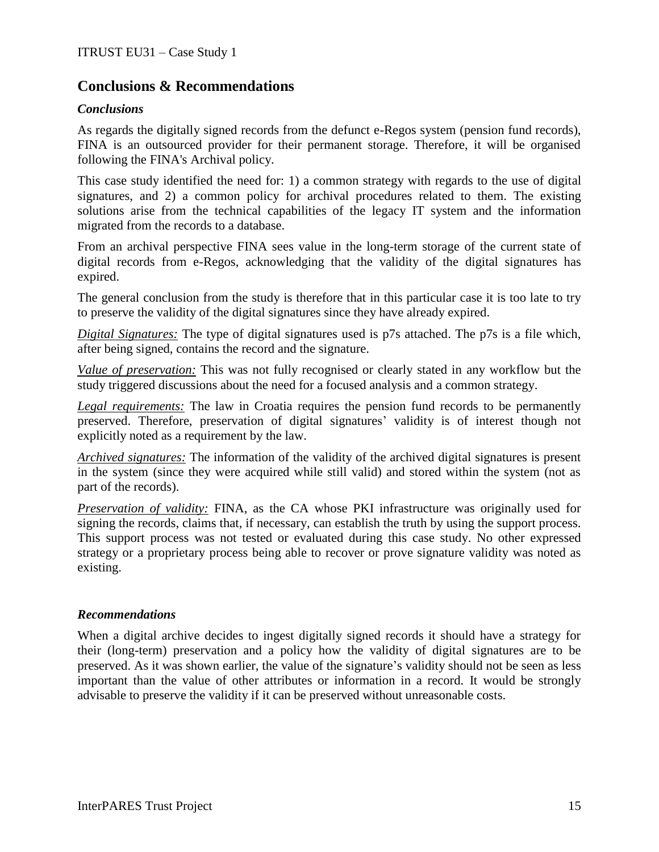## **Conclusions & Recommendations**

#### *Conclusions*

As regards the digitally signed records from the defunct e-Regos system (pension fund records), FINA is an outsourced provider for their permanent storage. Therefore, it will be organised following the FINA's Archival policy.

This case study identified the need for: 1) a common strategy with regards to the use of digital signatures, and 2) a common policy for archival procedures related to them. The existing solutions arise from the technical capabilities of the legacy IT system and the information migrated from the records to a database.

From an archival perspective FINA sees value in the long-term storage of the current state of digital records from e-Regos, acknowledging that the validity of the digital signatures has expired.

The general conclusion from the study is therefore that in this particular case it is too late to try to preserve the validity of the digital signatures since they have already expired.

*Digital Signatures:* The type of digital signatures used is p7s attached. The p7s is a file which, after being signed, contains the record and the signature.

*Value of preservation:* This was not fully recognised or clearly stated in any workflow but the study triggered discussions about the need for a focused analysis and a common strategy.

*Legal requirements:* The law in Croatia requires the pension fund records to be permanently preserved. Therefore, preservation of digital signatures' validity is of interest though not explicitly noted as a requirement by the law.

*Archived signatures:* The information of the validity of the archived digital signatures is present in the system (since they were acquired while still valid) and stored within the system (not as part of the records).

*Preservation of validity:* FINA, as the CA whose PKI infrastructure was originally used for signing the records, claims that, if necessary, can establish the truth by using the support process. This support process was not tested or evaluated during this case study. No other expressed strategy or a proprietary process being able to recover or prove signature validity was noted as existing.

#### *Recommendations*

When a digital archive decides to ingest digitally signed records it should have a strategy for their (long-term) preservation and a policy how the validity of digital signatures are to be preserved. As it was shown earlier, the value of the signature's validity should not be seen as less important than the value of other attributes or information in a record. It would be strongly advisable to preserve the validity if it can be preserved without unreasonable costs.